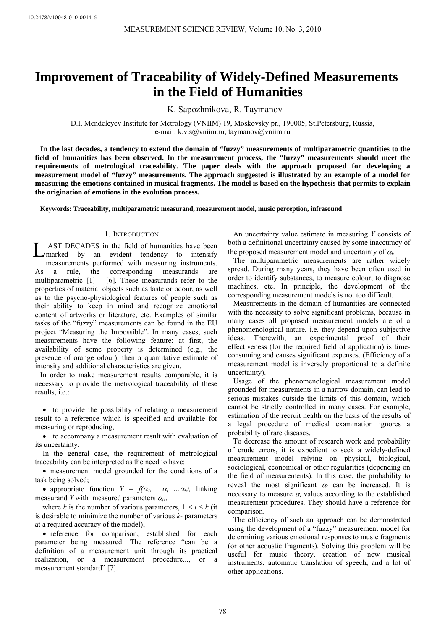# **Improvement of Traceability of Widely-Defined Measurements in the Field of Humanities**

K. Sapozhnikova, R. Taymanov

D.I. Mendeleyev Institute for Metrology (VNIIM) 19, Moskovsky pr., 190005, St.Petersburg, Russia, e-mail: [k.v.s@vniim.ru](mailto:k.v.s@vniim.ru), taymanov@vniim.ru

**In the last decades, a tendency to extend the domain of "fuzzy" measurements of multiparametric quantities to the field of humanities has been observed. In the measurement process, the "fuzzy" measurements should meet the requirements of metrological traceability. The paper deals with the approach proposed for developing a measurement model of "fuzzy" measurements. The approach suggested is illustrated by an example of a model for measuring the emotions contained in musical fragments. The model is based on the hypothesis that permits to explain the origination of emotions in the evolution process.** 

**Keywords: Traceability, multiparametric measurand, measurement model, music perception, infrasound** 

# 1. INTRODUCTION

 A ST DECADES in the field of humanities have been m arked by an evident tendency to intensify m easurements performed with measuring instruments. As a rule, the corresponding measurands are multiparametric  $[1] - [6]$ . These measurands refer to the properties of material objects such as taste or odour, as well as to the psycho-physiological features of people such as their ability to keep in mind and recognize emotional content of artworks or literature, etc. Examples of similar tasks of the "fuzzy" measurements can be found in the EU project "Measuring the Impossible". In many cases, such measurements have the following feature: at first, the availability of some property is determined (e.g., the presence of orange odour), then a quantitative estimate of intensity and additional characteristics are given. **LAST DECADES** in the field of humanities have been<br>measurements per omit vertainly and evident tendency to intensify<br>measurements performed with measuring instruments.<br>As a rule, the corresponding measurants are<br>multipar

In order to make measurement results comparable, it is necessary to provide the metrological traceability of these results, i.e.:

• to provide the possibility of relating a measurement result to a reference which is specified and available for measuring or reproducing,

• to accompany a measurement result with evaluation of its uncertainty.

In the general case, the requirement of metrological traceability can be interpreted as the need to have:

• measurement model grounded for the conditions of a task being solved;

• appropriate function  $Y = f(\alpha_1, \alpha_1, \ldots, \alpha_k)$ , linking measurand *Y* with measured parameters  $\alpha_i$ ,

where *k* is the number of various parameters,  $1 \le i \le k$  (it is desirable to minimize the number of various *k-* parameters at a required accuracy of the model);

• reference for comparison, established for each parameter being measured. The reference "can be a definition of a measurement unit through its practical realization, or a measurement procedure..., or a measurement standard" [7].

An uncertainty value estimate in measuring *Y* consists of both a definitional uncertainty caused by some inaccuracy of the proposed measurement model and uncertainty of α*i.*

The multiparametric measurements are rather widely spread. During many years, they have been often used in order to identify substances, to measure colour, to diagnose machines, etc. In principle, the development of the corresponding measurement models is not too difficult.

Measurements in the domain of humanities are connected with the necessity to solve significant problems, because in many cases all proposed measurement models are of a phenomenological nature, i.e. they depend upon subjective ideas. Therewith, an experimental proof of their effectiveness (for the required field of application) is timeconsuming and causes significant expenses. (Efficiency of a measurement model is inversely proportional to a definite uncertainty).

Usage of the phenomenological measurement model grounded for measurements in a narrow domain, can lead to serious mistakes outside the limits of this domain, which cannot be strictly controlled in many cases. For example, estimation of the recruit health on the basis of the results of a legal procedure of medical examination ignores a probability of rare diseases.

To decrease the amount of research work and probability of crude errors, it is expedient to seek a widely-defined measurement model relying on physical, biological, sociological, economical or other regularities (depending on the field of measurements). In this case, the probability to reveal the most significant  $\alpha_i$  can be increased. It is necessary to measure  $\alpha$ <sup>*I*</sup> values according to the established measurement procedures. They should have a reference for comparison.

The efficiency of such an approach can be demonstrated using the development of a "fuzzy" measurement model for determining various emotional responses to music fragments (or other acoustic fragments). Solving this problem will be useful for music theory, creation of new musical instruments, automatic translation of speech, and a lot of other applications.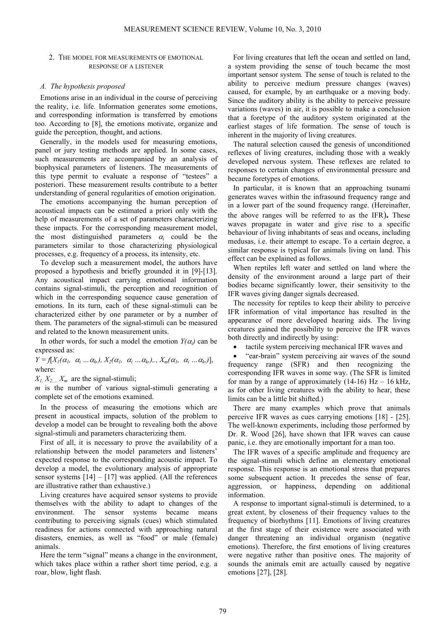## 2. THE MODEL FOR MEASUREMENTS OF EMOTIONAL RESPONSE OF A LISTENER

## *A. The hypothesis proposed*

Emotions arise in an individual in the course of perceiving the reality, i.e. life. Information generates some emotions, and corresponding information is transferred by emotions too. According to [8], the emotions motivate, organize and guide the perception, thought, and actions.

Generally, in the models used for measuring emotions, panel or jury testing methods are applied. In some cases, such measurements are accompanied by an analysis of biophysical parameters of listeners. The measurements of this type permit to evaluate a response of "testees" a posteriori. These measurement results contribute to a better understanding of general regularities of emotion origination.

The emotions accompanying the human perception of acoustical impacts can be estimated a priori only with the help of measurements of a set of parameters characterizing these impacts. For the corresponding measurement model, the most distinguished parameters  $\alpha_i$  could be the parameters similar to those characterizing physiological processes, e.g. frequency of a process, its intensity, etc.

To develop such a measurement model, the authors have proposed a hypothesis and briefly grounded it in [9]-[13]. Any acoustical impact carrying emotional information contains signal-stimuli, the perception and recognition of which in the corresponding sequence cause generation of emotions. In its turn, each of these signal-stimuli can be characterized either by one parameter or by a number of them. The parameters of the signal-stimuli can be measured and related to the known measurement units.

In other words, for such a model the emotion  $Y(\alpha_i)$  can be expressed as:

 $Y = f[X_1(\alpha_1, \alpha_1, \ldots, \alpha_k), X_2(\alpha_1, \alpha_1, \ldots, \alpha_k), X_m(\alpha_1, \alpha_1, \ldots, \alpha_k)]$ where:

 $X_1, X_2, \ldots, X_m$  are the signal-stimuli;

*m* is the number of various signal-stimuli generating a complete set of the emotions examined.

In the process of measuring the emotions which are present in acoustical impacts, solution of the problem to develop a model can be brought to revealing both the above signal-stimuli and parameters characterizing them.

First of all, it is necessary to prove the availability of a relationship between the model parameters and listeners' expected response to the corresponding acoustic impact. To develop a model, the evolutionary analysis of appropriate sensor systems  $[14] - [17]$  was applied. (All the references are illustrative rather than exhaustive.)

Living creatures have acquired sensor systems to provide themselves with the ability to adapt to changes of the environment. The sensor systems became means contributing to perceiving signals (cues) which stimulated readiness for actions connected with approaching natural disasters, enemies, as well as "food" or male (female) animals.

Here the term "signal" means a change in the environment, which takes place within a rather short time period, e.g. a roar, blow, light flash.

For living creatures that left the ocean and settled on land, a system providing the sense of touch became the most important sensor system. The sense of touch is related to the ability to perceive medium pressure changes (waves) caused, for example, by an earthquake or a moving body. Since the auditory ability is the ability to perceive pressure variations (waves) in air, it is possible to make a conclusion that a foretype of the auditory system originated at the earliest stages of life formation. The sense of touch is inherent in the majority of living creatures.

The natural selection caused the genesis of unconditioned reflexes of living creatures, including those with a weakly developed nervous system. These reflexes are related to responses to certain changes of environmental pressure and became foretypes of emotions.

In particular, it is known that an approaching tsunami generates waves within the infrasound frequency range and in a lower part of the sound frequency range. (Hereinafter, the above ranges will be referred to as the IFR)**.** These waves propagate in water and give rise to a specific behaviour of living inhabitants of seas and oceans, including medusas, i.e. their attempt to escape. To a certain degree, a similar response is typical for animals living on land. This effect can be explained as follows.

When reptiles left water and settled on land where the density of the environment around a large part of their bodies became significantly lower, their sensitivity to the IFR waves giving danger signals decreased.

The necessity for reptiles to keep their ability to perceive IFR information of vital importance has resulted in the appearance of more developed hearing aids. The living creatures gained the possibility to perceive the IFR waves both directly and indirectly by using:

• tactile system perceiving mechanical IFR waves and

• "ear-brain" system perceiving air waves of the sound frequency range (SFR) and then recognizing the corresponding IFR waves in some way. (The SFR is limited for man by a range of approximately  $(14-16)$  Hz - 16 kHz, as for other living creatures with the ability to hear, these limits can be a little bit shifted.)

There are many examples which prove that animals perceive IFR waves as cues carrying emotions [18] - [25]. The well-known experiments, including those performed by Dr. R. Wood [26], have shown that IFR waves can cause panic, i.e. they are emotionally important for a man too.

The IFR waves of a specific amplitude and frequency are the signal-stimuli which define an elementary emotional response. This response is an emotional stress that prepares some subsequent action. It precedes the sense of fear, aggression, or happiness, depending on additional information.

A response to important signal-stimuli is determined, to a great extent, by closeness of their frequency values to the frequency of biorhythms [11]. Emotions of living creatures at the first stage of their existence were associated with danger threatening an individual organism (negative emotions). Therefore, the first emotions of living creatures were negative rather than positive ones. The majority of sounds the animals emit are actually caused by negative emotions [27], [28].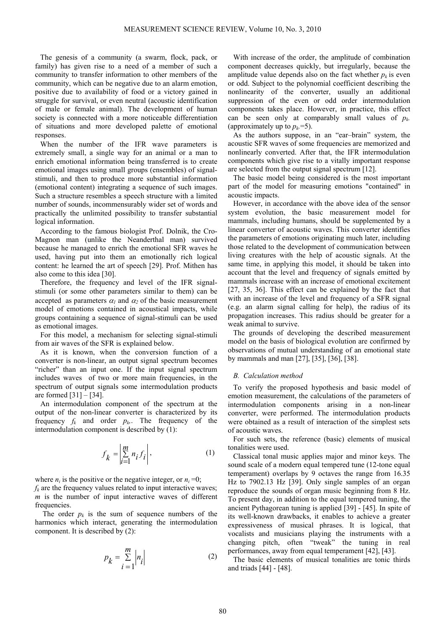The genesis of a community (a swarm, flock, pack, or family) has given rise to a need of a member of such a community to transfer information to other members of the community, which can be negative due to an alarm emotion, positive due to availability of food or a victory gained in struggle for survival, or even neutral (acoustic identification of male or female animal). The development of human society is connected with a more noticeable differentiation of situations and more developed palette of emotional responses.

When the number of the IFR wave parameters is extremely small, a single way for an animal or a man to enrich emotional information being transferred is to create emotional images using small groups (ensembles) of signalstimuli, and then to produce more substantial information (emotional content) integrating a sequence of such images. Such a structure resembles a speech structure with a limited number of sounds, incommensurably wider set of words and practically the unlimited possibility to transfer substantial logical information.

According to the famous biologist Prof. Dolnik, the Cro-Magnon man (unlike the Neanderthal man) survived because he managed to enrich the emotional SFR waves he used, having put into them an emotionally rich logical content: he learned the art of speech [29]. Prof. Mithen has also come to this idea [30].

Therefore, the frequency and level of the IFR signalstimuli (or some other parameters similar to them) can be accepted as parameters  $\alpha_l$  and  $\alpha_2$  of the basic measurement model of emotions contained in acoustical impacts, while groups containing a sequence of signal-stimuli can be used as emotional images.

For this model, a mechanism for selecting signal-stimuli from air waves of the SFR is explained below.

As it is known, when the conversion function of a converter is non-linear, an output signal spectrum becomes "richer" than an input one. If the input signal spectrum includes waves of two or more main frequencies, in the spectrum of output signals some intermodulation products are formed  $[31] - [34]$ .

An intermodulation component of the spectrum at the output of the non-linear converter is characterized by its frequency  $f_k$  and order  $p_k$ . The frequency of the intermodulation component is described by (1):

$$
f_k = \left| \sum_{i=1}^{m} n_i f_i \right|,\tag{1}
$$

where  $n_i$  is the positive or the negative integer, or  $n_i = 0$ ;

 $f_k$  are the frequency values related to input interactive waves; *m* is the number of input interactive waves of different frequencies.

The order  $p_k$  is the sum of sequence numbers of the harmonics which interact, generating the intermodulation component. It is described by (2):

$$
p_k = \sum_{i=1}^{m} \left| n_i \right| \tag{2}
$$

With increase of the order, the amplitude of combination component decreases quickly, but irregularly, because the amplitude value depends also on the fact whether  $p_k$  is even or odd. Subject to the polynomial coefficient describing the nonlinearity of the converter, usually an additional suppression of the even or odd order intermodulation components takes place. However, in practice, this effect can be seen only at comparably small values of  $p_k$ . (approximately up to  $p_k = 5$ ).

As the authors suppose, in an "ear–brain" system, the acoustic SFR waves of some frequencies are memorized and nonlinearly converted. After that, the IFR intermodulation components which give rise to a vitally important response are selected from the output signal spectrum [12].

The basic model being considered is the most important part of the model for measuring emotions "contained" in acoustic impacts.

However, in accordance with the above idea of the sensor system evolution, the basic measurement model for mammals, including humans, should be supplemented by a linear converter of acoustic waves. This converter identifies the parameters of emotions originating much later, including those related to the development of communication between living creatures with the help of acoustic signals. At the same time, in applying this model, it should be taken into account that the level and frequency of signals emitted by mammals increase with an increase of emotional excitement [27, 35, 36]. This effect can be explained by the fact that with an increase of the level and frequency of a SFR signal (e.g. an alarm signal calling for help), the radius of its propagation increases. This radius should be greater for a weak animal to survive.

The grounds of developing the described measurement model on the basis of biological evolution are confirmed by observations of mutual understanding of an emotional state by mammals and man [27], [35], [36], [38].

## *B. Calculation method*

To verify the proposed hypothesis and basic model of emotion measurement, the calculations of the parameters of intermodulation components arising in a non-linear converter, were performed. The intermodulation products were obtained as a result of interaction of the simplest sets of acoustic waves.

For such sets, the reference (basic) elements of musical tonalities were used.

Classical tonal music applies major and minor keys. The sound scale of a modern equal tempered tune (12-tone equal temperament) overlaps by 9 octaves the range from 16.35 Hz to 7902.13 Hz [39]. Only single samples of an organ reproduce the sounds of organ music beginning from 8 Hz. To present day, in addition to the equal tempered tuning, the ancient Pythagorean tuning is applied [39] - [45]. In spite of its well-known drawbacks, it enables to achieve a greater expressiveness of musical phrases. It is logical, that vocalists and musicians playing the instruments with a changing pitch, often "tweak" the tuning in real performances, away from equal temperament [42], [43].

The basic elements of musical tonalities are tonic thirds and triads [44] - [48].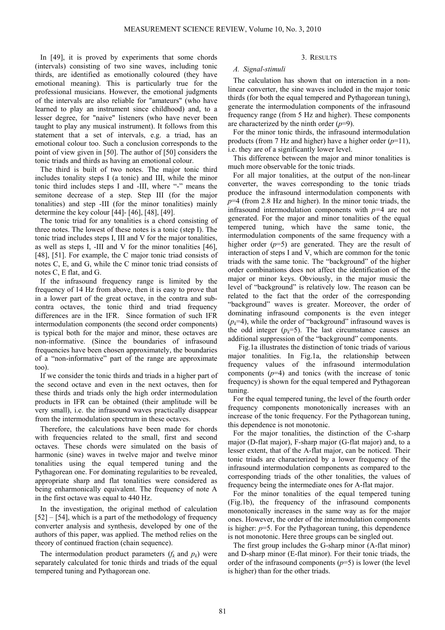In [49], it is proved by experiments that some chords (intervals) consisting of two sine waves, including tonic thirds, are identified as emotionally coloured (they have emotional meaning). This is particularly true for the professional musicians. However, the emotional judgments of the intervals are also reliable for "amateurs" (who have learned to play an instrument since childhood) and, to a lesser degree, for "naive" listeners (who have never been taught to play any musical instrument). It follows from this statement that a set of intervals, e.g. a triad, has an emotional colour too. Such a conclusion corresponds to the point of view given in [50]. The author of [50] considers the tonic triads and thirds as having an emotional colour.

The third is built of two notes. The major tonic third includes tonality steps I (a tonic) and III, while the minor tonic third includes steps I and -III, where "-" means the semitone decrease of a step. Step III (for the major tonalities) and step -III (for the minor tonalities) mainly determine the key colour [44]- [46], [48], [49].

The tonic triad for any tonalities is a chord consisting of three notes. The lowest of these notes is a tonic (step I). The tonic triad includes steps I, III and V for the major tonalities, as well as steps I, -III and V for the minor tonalities [46], [48], [51]. For example, the C major tonic triad consists of notes C, E, and G, while the С minor tonic triad consists of notes C, E flat, and G.

If the infrasound frequency range is limited by the frequency of 14 Hz from above, then it is easy to prove that in a lower part of the great octave, in the contra and subcontra octaves, the tonic third and triad frequency differences are in the IFR. Since formation of such IFR intermodulation components (the second order components) is typical both for the major and minor, these octaves are non-informative. (Since the boundaries of infrasound frequencies have been chosen approximately, the boundaries of a "non-informative" part of the range are approximate too).

If we consider the tonic thirds and triads in a higher part of the second octave and even in the next octaves, then for these thirds and triads only the high order intermodulation products in IFR can be obtained (their amplitude will be very small), i.e. the infrasound waves practically disappear from the intermodulation spectrum in these octaves.

Therefore, the calculations have been made for chords with frequencies related to the small, first and second octaves. These chords were simulated on the basis of harmonic (sine) waves in twelve major and twelve minor tonalities using the equal tempered tuning and the Pythagorean one. For dominating regularities to be revealed, appropriate sharp and flat tonalities were considered as being enharmonically equivalent. The frequency of note A in the first octave was equal to 440 Hz.

In the investigation, the original method of calculation  $[52] - [54]$ , which is a part of the methodology of frequency converter analysis and synthesis, developed by one of the authors of this paper, was applied. The method relies on the theory of continued fraction (chain sequence).

The intermodulation product parameters  $(f_k \text{ and } p_k)$  were separately calculated for tonic thirds and triads of the equal tempered tuning and Pythagorean one.

## 3. RESULTS

## *A. Signal-stimuli*

The calculation has shown that on interaction in a nonlinear converter, the sine waves included in the major tonic thirds (for both the equal tempered and Pythagorean tuning), generate the intermodulation components of the infrasound frequency range (from 5 Hz and higher). These components are characterized by the ninth order (*p*=9).

For the minor tonic thirds, the infrasound intermodulation products (from 7 Hz and higher) have a higher order (*p*=11), i.e. they are of a significantly lower level.

This difference between the major and minor tonalities is much more observable for the tonic triads.

For all major tonalities, at the output of the non-linear converter, the waves corresponding to the tonic triads produce the infrasound intermodulation components with *p*=4 (from 2.8 Hz and higher). In the minor tonic triads, the infrasound intermodulation components with *p=*4 are not generated. For the major and minor tonalities of the equal tempered tuning, which have the same tonic, the intermodulation components of the same frequency with a higher order (*p*=5) are generated. They are the result of interaction of steps I and V, which are common for the tonic triads with the same tonic. The "background" of the higher order combinations does not affect the identification of the major or minor keys. Obviously, in the major music the level of "background" is relatively low. The reason can be related to the fact that the order of the corresponding "background" waves is greater. Moreover, the order of dominating infrasound components is the even integer  $(p_k=4)$ , while the order of "background" infrasound waves is the odd integer  $(p_k=5)$ . The last circumstance causes an additional suppression of the "background" components.

Fig.1a illustrates the distinction of tonic triads of various major tonalities. In Fig.1a, the relationship between frequency values of the infrasound intermodulation components  $(p=4)$  and tonics (with the increase of tonic frequency) is shown for the equal tempered and Pythagorean tuning.

For the equal tempered tuning, the level of the fourth order frequency components monotonically increases with an increase of the tonic frequency. For the Pythagorean tuning, this dependence is not monotonic.

For the major tonalities, the distinction of the C-sharp major (D-flat major), F-sharp major (G-flat major) and, to a lesser extent, that of the A-flat major, can be noticed. Their tonic triads are characterized by a lower frequency of the infrasound intermodulation components as compared to the corresponding triads of the other tonalities, the values of frequency being the intermediate ones for A-flat major.

For the minor tonalities of the equal tempered tuning (Fig.1b), the frequency of the infrasound components monotonically increases in the same way as for the major ones. However, the order of the intermodulation components is higher: *p*=5. For the Pythagorean tuning, this dependence is not monotonic. Here three groups can be singled out.

The first group includes the G-sharp minor (A-flat minor) and D-sharp minor (E-flat minor). For their tonic triads, the order of the infrasound components  $(p=5)$  is lower (the level is higher) than for the other triads.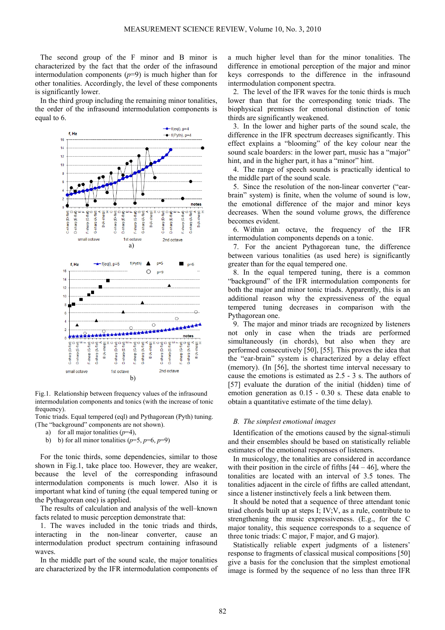The second group of the F minor and B minor is characterized by the fact that the order of the infrasound intermodulation components  $(p=9)$  is much higher than for other tonalities. Accordingly, the level of these components is significantly lower.

In the third group including the remaining minor tonalities, the order of the infrasound intermodulation components is equal to 6.



Fig.1. Relationship between frequency values of the infrasound intermodulation components and tonics (with the increase of tonic frequency).

Tonic triads. Equal tempered (eql) and Pythagorean (Pyth) tuning. (The "background" components are not shown).

- a) for all major tonalities  $(p=4)$ ,
- b) b) for all minor tonalities  $(p=5, p=6, p=9)$

For the tonic thirds, some dependencies, similar to those shown in Fig.1, take place too. However, they are weaker, because the level of the corresponding infrasound intermodulation components is much lower. Also it is important what kind of tuning (the equal tempered tuning or the Pythagorean one) is applied.

The results of calculation and analysis of the well–known facts related to music perception demonstrate that:

1. The waves included in the tonic triads and thirds, interacting in the non-linear converter, cause an intermodulation product spectrum containing infrasound waves.

In the middle part of the sound scale, the major tonalities are characterized by the IFR intermodulation components of

a much higher level than for the minor tonalities. The difference in emotional perception of the major and minor keys corresponds to the difference in the infrasound intermodulation component spectra.

2. The level of the IFR waves for the tonic thirds is much lower than that for the corresponding tonic triads. The biophysical premises for emotional distinction of tonic thirds are significantly weakened.

3. In the lower and higher parts of the sound scale, the difference in the IFR spectrum decreases significantly. This effect explains a "blooming" of the key colour near the sound scale boarders: in the lower part, music has a "major" hint, and in the higher part, it has a "minor" hint.

4. The range of speech sounds is practically identical to the middle part of the sound scale.

5. Since the resolution of the non-linear converter ("earbrain" system) is finite, when the volume of sound is low, the emotional difference of the major and minor keys decreases. When the sound volume grows, the difference becomes evident.

6. Within an octave, the frequency of the IFR intermodulation components depends on a tonic.

7. For the ancient Pythagorean tune, the difference between various tonalities (as used here) is significantly greater than for the equal tempered one.

8. In the equal tempered tuning, there is a common "background" of the IFR intermodulation components for both the major and minor tonic triads. Apparently, this is an additional reason why the expressiveness of the equal tempered tuning decreases in comparison with the Pythagorean one.

9. The major and minor triads are recognized by listeners not only in case when the triads are performed simultaneously (in chords), but also when they are performed consecutively [50], [55]. This proves the idea that the "ear-brain" system is characterized by a delay effect (memory). (In [56], the shortest time interval necessary to cause the emotions is estimated as 2.5 - 3 s. The authors of [57] evaluate the duration of the initial (hidden) time of emotion generation as 0.15 - 0.30 s. These data enable to obtain a quantitative estimate of the time delay).

#### *B. The simplest emotional images*

Identification of the emotions caused by the signal-stimuli and their ensembles should be based on statistically reliable estimates of the emotional responses of listeners.

In musicology, the tonalities are considered in accordance with their position in the circle of fifths  $[44 - 46]$ , where the tonalities are located with an interval of 3.5 tones. The tonalities adjacent in the circle of fifths are called attendant, since a listener instinctively feels a link between them.

It should be noted that a sequence of three attendant tonic triad chords built up at steps I; IV;V, as a rule, contribute to strengthening the music expressiveness. (E.g., for the C major tonality, this sequence corresponds to a sequence of three tonic triads: C major, F major, and G major).

Statistically reliable expert judgments of a listeners' response to fragments of classical musical compositions [50] give a basis for the conclusion that the simplest emotional image is formed by the sequence of no less than three IFR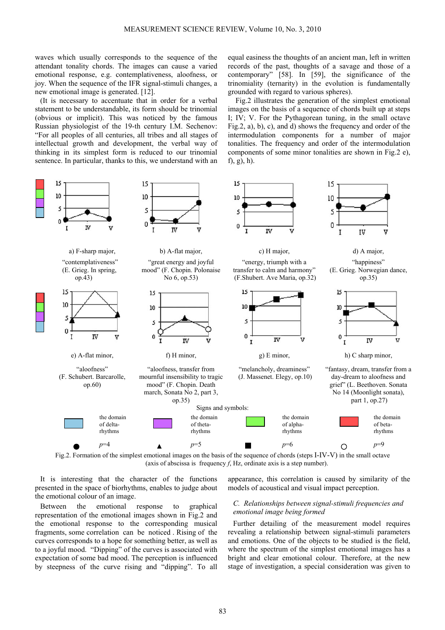f), g), h).

waves which usually corresponds to the sequence of the attendant tonality chords. The images can cause a varied emotional response, e.g. contemplativeness, aloofness, or joy. When the sequence of the IFR signal-stimuli changes, a new emotional image is generated. [12].

(It is necessary to accentuate that in order for a verbal statement to be understandable, its form should be trinomial (obvious or implicit). This was noticed by the famous Russian physiologist of the 19-th century I.M. Sechenov: "For all peoples of all centuries, all tribes and all stages of intellectual growth and development, the verbal way of thinking in its simplest form is reduced to our trinomial sentence. In particular, thanks to this, we understand with an

15  $15$ 15 15 10 10 10 10 5 S 5 5  $\mathbf 0$ 0  $\pmb{0}$ **IV** T IV I **IV** v I IV Y) a) F-sharp major, b) A-flat major, c) H major, d) A major, "contemplativeness" "great energy and joyful "energy, triumph with a "happiness" (E. Grieg. Norwegian dance, (E. Grieg. In spring, mood" (F. Chopin. Polonaise transfer to calm and harmony" op.43) No 6, op.53) (F.Shubert. Ave Maria, op.32) op.35) 15 15 15 15 10 10  $10$ m 5 5 s <sub>5</sub>  $\mathbf 0$ IV  $\mathbf{0}$  $\boldsymbol{0}$ T v  $\theta$ **IV** IV IV 32 Y)  $\mathbf{I}$ e) A-flat minor, f) H minor, g) E minor, h) C sharp minor, "aloofness" "aloofness, transfer from "melancholy, dreaminess" "fantasy, dream, transfer from a (F. Schubert. Barcarolle, mournful insensibility to tragic (J. Massenet. Elegy, op.10) day-dream to aloofness and grief" (L. Beethoven. Sonata mood" (F. Chopin. Death op.60) march, Sonata No 2, part 3, No 14 (Moonlight sonata), part 1, op.27) op.35) Signs and symbols: the domain the domain the domain the domain of deltaof thetaof alphaof betarhythms rhythms rhythms rhythms *р*=4 *р*=5 *р*=6 *р*=9

Fig.2. Formation of the simplest emotional images on the basis of the sequence of chords (steps I-IV-V) in the small octave (axis of abscissa is frequency *f*, Hz, ordinate axis is a step number).

It is interesting that the character of the functions presented in the space of biorhythms, enables to judge about the emotional colour of an image.

Between the emotional response to graphical representation of the emotional images shown in Fig.2 and the emotional response to the corresponding musical fragments, some correlation can be noticed . Rising of the curves corresponds to a hope for something better, as well as to a joyful mood. "Dipping" of the curves is associated with expectation of some bad mood. The perception is influenced by steepness of the curve rising and "dipping". To all

appearance, this correlation is caused by similarity of the models of acoustical and visual impact perception.

equal easiness the thoughts of an ancient man, left in written records of the past, thoughts of a savage and those of a contemporary" [58]. In [59], the significance of the trinomiality (ternarity) in the evolution is fundamentally

Fig.2 illustrates the generation of the simplest emotional images on the basis of a sequence of chords built up at steps I; IV; V. For the Pythagorean tuning, in the small octave Fig.2, a), b), c), and d) shows the frequency and order of the intermodulation components for a number of major tonalities. The frequency and order of the intermodulation components of some minor tonalities are shown in Fig.2 e),

grounded with regard to various spheres).

# *C. Relationships between signal-stimuli frequencies and emotional image being formed*

Further detailing of the measurement model requires revealing a relationship between signal-stimuli parameters and emotions. One of the objects to be studied is the field, where the spectrum of the simplest emotional images has a bright and clear emotional colour. Therefore, at the new stage of investigation, a special consideration was given to

83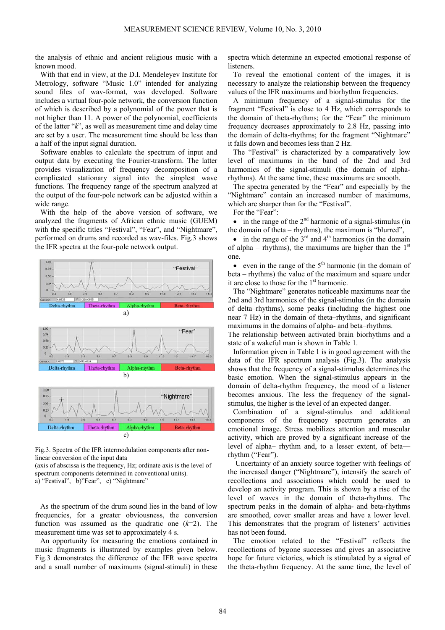the analysis of ethnic and ancient religious music with a known mood.

With that end in view, at the D.I. Mendeleyev Institute for Metrology, software "Music 1.0" intended for analyzing sound files of wav-format, was developed. Software includes a virtual four-pole network, the conversion function of which is described by a polynomial of the power that is not higher than 11. A power of the polynomial, coefficients of the latter "*k*", as well as measurement time and delay time are set by a user. The measurement time should be less than a half of the input signal duration.

Software enables to calculate the spectrum of input and output data by executing the Fourier-transform. The latter provides visualization of frequency decomposition of a complicated stationary signal into the simplest [wave](http://en.wikipedia.org/wiki/Oscillation) functions. The frequency range of the spectrum analyzed at the output of the four-pole network can be adjusted within a wide range.

With the help of the above version of software, we analyzed the fragments of African ethnic music (GUEM) with the specific titles "Festival", "Fear", and "Nightmare", performed on drums and recorded as wav-files. Fig.3 shows the IFR spectra at the four-pole network output.



Fig.3. Spectra of the IFR intermodulation components after nonlinear conversion of the input data

(axis of abscissa is the frequency, Hz; ordinate axis is the level of spectrum components determined in conventional units). a) "Festival", b)"Fear", c) "Nightmare"

As the spectrum of the drum sound lies in the band of low frequencies, for a greater obviousness, the conversion function was assumed as the quadratic one  $(k=2)$ . The measurement time was set to approximately 4 s.

An opportunity for measuring the emotions contained in music fragments is illustrated by examples given below. Fig.3 demonstrates the difference of the IFR wave spectra and a small number of maximums (signal-stimuli) in these

spectra which determine an expected emotional response of **listeners** 

To reveal the emotional content of the images, it is necessary to analyze the relationship between the frequency values of the IFR maximums and biorhythm frequencies.

A minimum frequency of a signal-stimulus for the fragment "Festival" is close to 4 Hz, which corresponds to the domain of theta-rhythms; for the "Fear" the minimum frequency decreases approximately to 2.8 Hz, passing into the domain of delta-rhythms; for the fragment "Nightmare" it falls down and becomes less than 2 Hz.

The "Festival" is characterized by a comparatively low level of maximums in the band of the 2nd and 3rd harmonics of the signal-stimuli (the domain of alpharhythms). At the same time, these maximums are smooth.

The spectra generated by the "Fear" and especially by the "Nightmare" contain an increased number of maximums, which are sharper than for the "Festival".

For the "Fear":

• in the range of the  $2<sup>nd</sup>$  harmonic of a signal-stimulus (in the domain of theta – rhythms), the maximum is "blurred",

• in the range of the  $3<sup>rd</sup>$  and  $4<sup>th</sup>$  harmonics (in the domain of alpha – rhythms), the maximums are higher than the  $1<sup>st</sup>$ one.

• even in the range of the  $5<sup>th</sup>$  harmonic (in the domain of beta – rhythms) the value of the maximum and square under it are close to those for the 1<sup>st</sup> harmonic.

The "Nightmare" generates noticeable maximums near the 2nd and 3rd harmonics of the signal-stimulus (in the domain of delta–rhythms), some peaks (including the highest one near 7 Hz) in the domain of theta–rhythms, and significant maximums in the domains of alpha- and beta–rhythms.

The relationship between activated brain biorhythms and a state of a wakeful man is shown in Table 1.

Information given in Table 1 is in good agreement with the data of the IFR spectrum analysis (Fig.3). The analysis shows that the frequency of a signal-stimulus determines the basic emotion. When the signal-stimulus appears in the domain of delta-rhythm frequency, the mood of a listener becomes anxious. The less the frequency of the signalstimulus, the higher is the level of an expected danger.

Combination of a signal-stimulus and additional components of the frequency spectrum generates an emotional image. Stress mobilizes attention and muscular activity, which are proved by a significant increase of the level of alpha– rhythm and, to a lesser extent, of beta rhythm ("Fear").

Uncertainty of an anxiety source together with feelings of the increased danger ("Nightmare"), intensify the search of recollections and associations which could be used to develop an activity program. This is shown by a rise of the level of waves in the domain of theta-rhythms. The spectrum peaks in the domain of alpha- and beta-rhythms are smoothed, cover smaller areas and have a lower level. This demonstrates that the program of listeners' activities has not been found.

The emotion related to the "Festival" reflects the recollections of bygone successes and gives an associative hope for future victories, which is stimulated by a signal of the theta-rhythm frequency. At the same time, the level of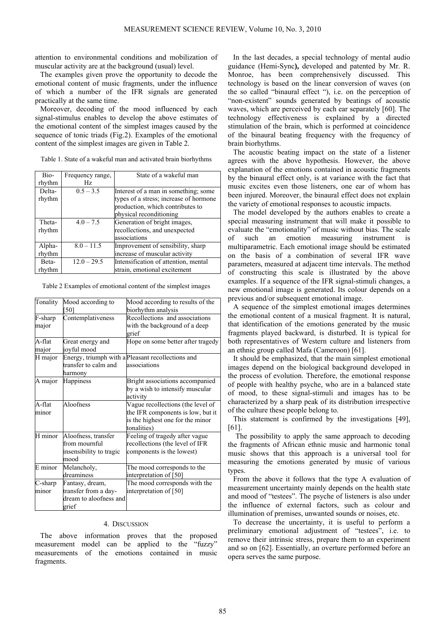attention to environmental conditions and mobilization of muscular activity are at the background (usual) level.

The examples given prove the opportunity to decode the emotional content of music fragments, under the influence of which a number of the IFR signals are generated practically at the same time.

Moreover, decoding of the mood influenced by each signal-stimulus enables to develop the above estimates of the emotional content of the simplest images caused by the sequence of tonic triads (Fig.2). Examples of the emotional content of the simplest images are given in Table 2.

Table 1. State of a wakeful man and activated brain biorhythms

| Bio-   | Frequency range, | State of a wakeful man                 |
|--------|------------------|----------------------------------------|
| rhythm | Hz.              |                                        |
| Delta- | $0.5 - 3.5$      | Interest of a man in something; some   |
| rhythm |                  | types of a stress; increase of hormone |
|        |                  | production, which contributes to       |
|        |                  | physical reconditioning                |
| Theta- | $4.0 - 7.5$      | Generation of bright images,           |
| rhythm |                  | recollections, and unexpected          |
|        |                  | associations                           |
| Alpha- | $8.0 - 11.5$     | Improvement of sensibility, sharp      |
| rhythm |                  | increase of muscular activity          |
| Beta-  | $12.0 - 29.5$    | Intensification of attention, mental   |
| rhythm |                  | strain, emotional excitement           |

Table 2 Examples of emotional content of the simplest images

| Tonality  | Mood according to       | Mood according to results of the                  |
|-----------|-------------------------|---------------------------------------------------|
|           | [50]                    | biorhythm analysis                                |
| F-sharp   | Contemplativeness       | Recollections and associations                    |
| major     |                         | with the background of a deep                     |
|           |                         | grief                                             |
| A-flat    | Great energy and        | Hope on some better after tragedy                 |
| major     | joyful mood             |                                                   |
| H major   |                         | Energy, triumph with a Pleasant recollections and |
|           | transfer to calm and    | associations                                      |
|           | harmony                 |                                                   |
| A major   | <b>Happiness</b>        | Bright associations accompanied                   |
|           |                         | by a wish to intensify muscular                   |
|           |                         | activity                                          |
| A-flat    | Aloofness               | Vague recollections (the level of                 |
| minor     |                         | the IFR components is low, but it                 |
|           |                         | is the highest one for the minor                  |
|           |                         | tonalities)                                       |
| $H$ minor | Aloofness, transfer     | Feeling of tragedy after vague                    |
|           | from mournful           | recollections (the level of IFR                   |
|           | insensibility to tragic | components is the lowest)                         |
|           | mood                    |                                                   |
| E minor   | Melancholy,             | The mood corresponds to the                       |
|           | dreaminess              | interpretation of [50]                            |
| C-sharp   | Fantasy, dream,         | The mood corresponds with the                     |
| minor     | transfer from a day-    | interpretation of [50]                            |
|           | dream to aloofness and  |                                                   |
|           | grief                   |                                                   |

## 4. DISCUSSION

The above information proves that the proposed measurement model can be applied to the "fuzzy" measurements of the emotions contained in music fragments.

In the last decades, a special technology of mental audio guidance (Hemi-Sync**),** developed and patented by Mr. R. Monroe, has been comprehensively discussed. This technology is based on the linear conversion of waves (on the so called "binaural effect "), i.e. on the perception of "non-existent" sounds generated by beatings of acoustic waves, which are perceived by each ear separately [60]. The technology effectiveness is explained by a directed stimulation of the brain, which is performed at coincidence of the binaural beating frequency with the frequency of brain biorhythms.

The acoustic beating impact on the state of a listener agrees with the above hypothesis. However, the above explanation of the emotions contained in acoustic fragments by the binaural effect only, is at variance with the fact that music excites even those listeners, one ear of whom has been injured. Moreover, the binaural effect does not explain the variety of emotional responses to acoustic impacts.

The model developed by the authors enables to create a special measuring instrument that will make it possible to evaluate the "emotionality" of music without bias. The scale of such an emotion measuring instrument is multiparametric. Each emotional image should be estimated on the basis of a combination of several IFR wave parameters, measured at adjacent time intervals. The method of constructing this scale is illustrated by the above examples. If a sequence of the IFR signal-stimuli changes, a new emotional image is generated. Its colour depends on a previous and/or subsequent emotional image.

A sequence of the simplest emotional images determines the emotional content of a musical fragment. It is natural, that identification of the emotions generated by the music fragments played backward, is disturbed. It is typical for both representatives of Western culture and listeners from an ethnic group called Mafa (Cameroon) [61].

It should be emphasized, that the main simplest emotional images depend on the biological background developed in the process of evolution. Therefore, the emotional response of people with healthy psyche, who are in a balanced state of mood, to these signal-stimuli and images has to be characterized by a sharp peak of its distribution irrespective of the culture these people belong to.

This statement is confirmed by the investigations [49], [61].

The possibility to apply the same approach to decoding the fragments of African ethnic music and harmonic tonal music shows that this approach is a universal tool for measuring the emotions generated by music of various types.

From the above it follows that the type A evaluation of measurement uncertainty mainly depends on the health state and mood of "testees". The psyche of listeners is also under the influence of external factors, such as colour and illumination of premises, unwanted sounds or noises, etc.

To decrease the uncertainty, it is useful to perform a preliminary emotional adjustment of "testees", i.e. to remove their intrinsic stress, prepare them to an experiment and so on [62]. Essentially, an overture performed before an opera serves the same purpose.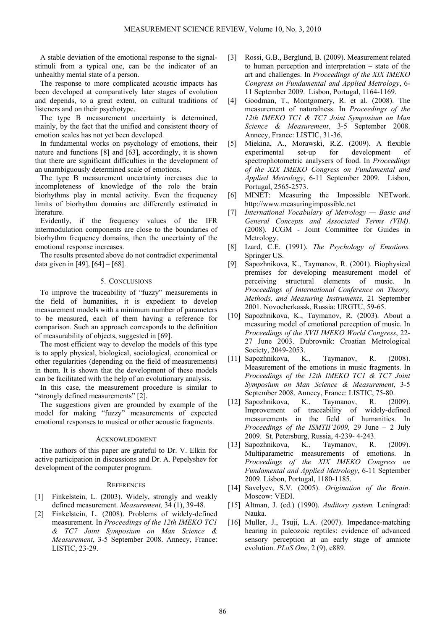A stable deviation of the emotional response to the signalstimuli from a typical one, can be the indicator of an unhealthy mental state of a person.

The response to more complicated acoustic impacts has been developed at comparatively later stages of evolution and depends, to a great extent, on cultural traditions of listeners and on their psychotype.

The type B measurement uncertainty is determined, mainly, by the fact that the unified and consistent theory of emotion scales has not yet been developed.

In fundamental works on psychology of emotions, their nature and functions [8] and [63], accordingly, it is shown that there are significant difficulties in the development of an unambiguously determined scale of emotions.

The type B measurement uncertainty increases due to incompleteness of knowledge of the role the brain biorhythms play in mental activity. Even the frequency limits of biorhythm domains are differently estimated in literature.

Evidently, if the frequency values of the IFR intermodulation components are close to the boundaries of biorhythm frequency domains, then the uncertainty of the emotional response increases.

The results presented above do not contradict experimental data given in [49], [64] – [68].

# 5. CONCLUSIONS

To improve the traceability of "fuzzy" measurements in the field of humanities, it is expedient to develop measurement models with a minimum number of parameters to be measured, each of them having a reference for comparison. Such an approach corresponds to the definition of measurability of objects, suggested in [69].

The most efficient way to develop the models of this type is to apply physical, biological, sociological, economical or other regularities (depending on the field of measurements) in them. It is shown that the development of these models can be facilitated with the help of an evolutionary analysis.

In this case, the measurement procedure is similar to "strongly defined measurements" [2].

The suggestions given are grounded by example of the model for making "fuzzy" measurements of expected emotional responses to musical or other acoustic fragments.

## ACKNOWLEDGMENT

The authors of this paper are grateful to Dr. V. Elkin for active participation in discussions and Dr. A. Pepelyshev for development of the computer program.

#### **REFERENCES**

- [1] Finkelstein, L. (2003). Widely, strongly and weakly defined measurement. *Measurement,* 34 (1), 39-48.
- [2] Finkelstein, L. (2008). Problems of widely-defined measurement. In *Proceedings of the 12th IMEKO TC1 & TC7 Joint Symposium on Man Science & Measurement*, 3-5 September 2008. Annecy, France: LISTIC, 23-29.
- [3] Rossi, G.B., Berglund, B. (2009). Measurement related to human perception and interpretation – state of the art and challenges. In *Proceedings of the XIX IMEKO Congress on Fundamental and Applied Metrology*, 6- 11 September 2009. Lisbon, Portugal, 1164-1169.
- [4] Goodman, T., Montgomery, R. et al. (2008). The measurement of naturalness. In *Proceedings of the 12th IMEKO TC1 & TC7 Joint Symposium on Man Science & Measurement*, 3-5 September 2008. Annecy, France: LISTIC, 31-36.
- [5] Miekina, A., Morawski, R.Z. (2009). A flexible experimental set-up for development of spectrophotometric analysers of food. In *Proceedings of the XIX IMEKO Congress on Fundamental and Applied Metrology*, 6-11 September 2009. Lisbon, Portugal, 2565-2573.
- [6] MINET: Measuring the Impossible NETwork. http://www.measuringimpossible.net
- [7] *International Vocabulary of Metrology Basic and General Concepts and Associated Terms (VIM)*. (2008). JCGM - Joint Committee for Guides in Metrology.
- [8] Izard, C.E. (1991). *The Psychology of Emotions.*  Springer US.
- [9] Sapozhnikova, K., Taymanov, R. (2001). Biophysical premises for developing measurement model of perceiving structural elements of music. In *Proceedings of International Conference on Theory, Methods, and Measuring Instruments,* 21 September 2001. Novocherkassk, Russia: URGTU, 59-65.
- [10] Sapozhnikova, K., Taymanov, R. (2003). About a measuring model of emotional perception of music. In *Proceedings of the XVII IMEKO World Congress*, 22- 27 June 2003. Dubrovnik: Croatian Metrological Society, 2049-2053.
- [11] Sapozhnikova, K., Taymanov, R. (2008). Measurement of the emotions in music fragments. In *Proceedings of the 12th IMEKO TC1 & TC7 Joint Symposium on Man Science & Measurement*, 3-5 September 2008. Annecy, France: LISTIC, 75-80.
- [12] Sapozhnikova, K., Taymanov, R. (2009). Improvement of traceability of widely-defined measurements in the field of humanities. In *Proceedings of the ISMTII'2009*, 29 June – 2 July 2009. St. Petersburg, Russia, 4-239- 4-243.
- [13] Sapozhnikova, K., Taymanov, R. (2009). Multiparametric measurements of emotions. In *Proceedings of the XIX IMEKO Congress on Fundamental and Applied Metrology*, 6-11 September 2009. Lisbon, Portugal, 1180-1185.
- [14] Savelyev, S.V. (2005). *Origination of the Brain*. Moscow: VEDI.
- [15] Altman, J. (ed.) (1990). *Auditory system.* Leningrad: Nauka.
- [16] Muller, J., Tsuji, L.A. (2007). Impedance-matching hearing in paleozoic reptiles: evidence of advanced sensory perception at an early stage of amniote evolution. *PLoS One*, 2 (9), e889.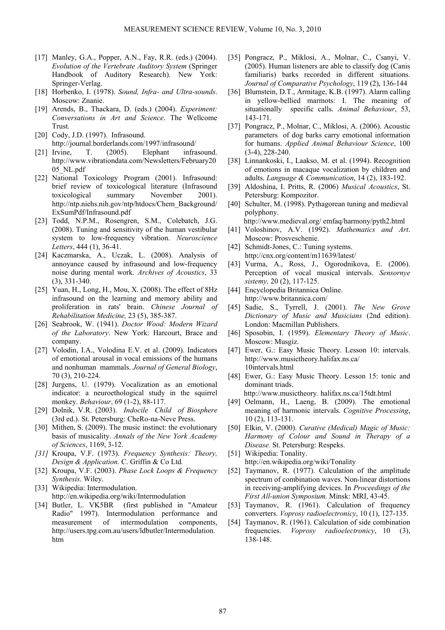- [17] Manley, G.A., Popper, A.N., Fay, R.R. (eds.) (2004). *Evolution of the Vertebrate Auditory System* [\(Springer](http://www.springer.com/series/2506)  [Handbook of Auditory Research](http://www.springer.com/series/2506)). New York: Springer-Verlag.
- [18] Horbenko, I. (1978). *Sound, Infra- and Ultra-sounds*. Moscow: Znanie.
- [19] Arends, B., Thackara, D. (eds.) (2004). *Experiment: Conversations in Art and Science*. The Wellcome Trust.
- [20] Cody, J.D. (1997). Infrasound. http://journal.borderlands.com/1997/infrasound/
- [21] Irvine, T. (2005). Elephant infrasound. http://www.vibrationdata.com/Newsletters/February20 05\_NL.pdf
- [22] National Toxicology Program (2001). Infrasound: brief review of toxicological literature (Infrasound toxicological summary November 2001). http://ntp.niehs.nih.gov/ntp/htdocs/Chem\_Background/ ExSumPdf/Infrasound.pdf
- [23] Todd, N.P.M., Rosengren, S.M., Colebatch, J.G. (2008). Tuning and sensitivity of the human vestibular system to low-frequency vibration. *Neuroscience Letters*, 444 (1), 36-41.
- [24] Kaczmarska, A., Uczak, L. (2008). Analysis of annoyance caused by infrasound and low-frequency noise during mental work. *Archives of Acoustics*, 33 (3), 331-340.
- [25] Yuan, H., Long, H., Mou, X. (2008). The effect of 8Hz infrasound on the learning and memory ability and proliferation in rats' brain. *Chinese Journal of Rehabilitation Medicine,* 23 (5), 385-387.
- [26] Seabrook, W. (1941). *Doctor Wood: Modern Wizard of the Laboratory*. New York: Harcourt, Brace and company.
- [27] Volodin, I.A., Volodina E.V. et al. (2009). Indicators of emotional arousal in vocal emissions of the humans and nonhuman mammals. *Journal of General Biology*, 70 (3), 210-224.
- [28] Jurgens, U. (1979). Vocalization as an emotional indicator: a neuroethological study in the squirrel monkey. *Behaviour*, 69 (1-2), 88-117.
- [29] Dolnik, V.R. (2003). *Indocile Child of Biosphere* (3rd ed.). St. Petersburg: CheRo-na-Neve Press.
- [30] Mithen, S. (2009). The music instinct: the evolutionary basis of musicality. *Annals of the New York Academy of Sciences*, 1169, 3-12.
- *[31]* Kroupa, V.F. (1973). *Frequency Synthesis: Theory, Design & Application.* C. Griffin & Co Ltd*.*
- [32] Kroupa, V.F. (2003). *Phase Lock Loops & Frequency Synthesis*. [Wiley](http://www.logobook.ru/prod_list.php?ftype=2&par1=10000061&name=Wiley&page=1).
- [33] Wikipedia: Intermodulation. <http://en.wikipedia.org/wiki/Intermodulation>
- [34] Butler, L. VK5BR (first published in "Amateur Radio" 1997). Intermodulation performance and measurement of intermodulation components, [http://users.tpg.com.au/users/ldbutler/Intermodulation.](http://users.tpg.com.au/users/ldbutler/Intermodulation.htm) [htm](http://users.tpg.com.au/users/ldbutler/Intermodulation.htm)
- [35] Pongracz, P., Miklosi, A., Molnar, C., Csanyi, V. (2005). Human listeners are able to classify dog (Canis familiaris) barks recorded in different situations. *Journal of Comparative Psychology*, 119 (2), 136-144
- [36] Blumstein, D.T., Armitage, K.B. (1997). Alarm calling in yellow-bellied marmots: I. The meaning of situationally specific calls. *Animal Behaviour*, 53, 143-171.
- [37] Pongracz, P., Molnar, C., Miklosi, A. (2006). Acoustic parameters of dog barks carry emotional information for humans. *Applied Animal Behaviour Science*, 100 (3-4), 228-240.
- [38] Linnankoski, I., Laakso, M. et al. (1994). Recognition of emotions in macaque vocalization by children and adults. *Language & Communication*, 14 (2), 183-192.
- [39] Aldoshina, I. Pritts, R. (2006) *Musical Acoustics*, St. Petersburg: Kompozitor.
- [40] Schulter, M. (1998). Pythagorean tuning and medieval polyphony.

[http://www.medieval.org/ emfaq/harmony/pyth2.html](http://www.medieval.org/%20emfaq/harmony/pyth2.html) 

- [41] Voloshinov, A.V. (1992). *Mathematics and Art*. Moscow: Prosveschenie.
- [42] Schmidt-Jones, C.: Tuning systems. <http://cnx.org/content/m11639/latest/>
- [43] Vurma, A., Ross, J., Ogorodnikova, E. (2006). Perception of vocal musical intervals. *Sensornye sistemy,* 20 (2), 117-125.
- [44] Encyclopedia Britannica Online. http://www.britannica.com/
- [45] [Sadie,](http://en.wikipedia.org/wiki/Stanley_Sadie) S., [Tyrrell](http://en.wikipedia.org/w/index.php?title=John_Tyrrell_%28professor_f_music%29&action=edit&redlink=1), J. (2001). *The New Grove Dictionary of Music and Musicians* (2nd edition). London: Macmillan Publishers.
- [46] Sposobin, I. (1959). *Elementary Theory of Music*. Moscow: Musgiz.
- [47] Ewer, G.: Easy Music Theory. Lesson 10: intervals. <http://www.musictheory.halifax.ns.ca/> 10intervals.html
- [48] Ewer, G.: Easy Music Theory. Lesson 15: tonic and dominant triads.

http://www.musictheory. halifax.ns.ca/15tdt.html

- [49] Oelmann, H., Laeng, B. (2009). The emotional meaning of harmonic intervals. *Cognitive Processing*, 10 (2), 113-131.
- [50] Elkin, V. (2000). *Curative (Medical) Magic of Music: Harmony of Colour and Sound in Therapy of a Disease.* St. Petersburg: Respeks.
- [51] Wikipedia: Tonality. <http://en.wikipedia.org/wiki/Tonality>
- [52] Taymanov, R. (1977). Calculation of the amplitude spectrum of combination waves. Non-linear distortions in receiving-amplifying devices. In *Proceedings of the First All-union Symposium.* Minsk: MRI, 43-45.
- [53] Taymanov, R. (1961). Calculation of frequency converters. *Voprosy radioelectronicy*, 10 (1), 127-135.
- [54] Taymanov, R. (1961). Calculation of side combination frequencies. *Voprosy radioelectronicy*, 10 (3), 138-148.